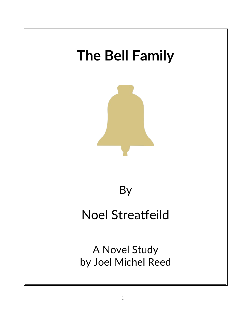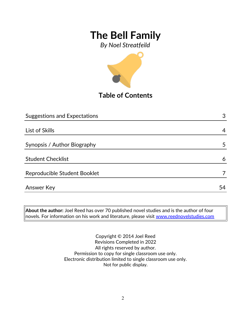*By Noel Streatfeild*



**Table of Contents**

| <b>Suggestions and Expectations</b> | 3  |
|-------------------------------------|----|
|                                     |    |
| List of Skills                      | 4  |
|                                     |    |
| Synopsis / Author Biography         | 5  |
|                                     |    |
| <b>Student Checklist</b>            | 6  |
|                                     |    |
| Reproducible Student Booklet        |    |
|                                     |    |
| Answer Key                          | 54 |

**About the author:** Joel Reed has over 70 published novel studies and is the author of four  $|$ novels. For information on his work and literature, please visit  $\overline{\color{black}$  [www.reednovelstudies.com](http://www.reednovelstudies.com/)

> Copyright © 2014 Joel Reed Revisions Completed in 2022 All rights reserved by author. Permission to copy for single classroom use only. Electronic distribution limited to single classroom use only. Not for public display.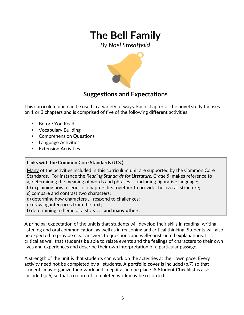*By Noel Streatfeild*



### **Suggestions and Expectations**

This curriculum unit can be used in a variety of ways. Each chapter of the novel study focuses on 1 or 2 chapters and is comprised of five of the following different activities:

- Before You Read
- Vocabulary Building
- Comprehension Questions
- Language Activities
- **Extension Activities**

### **Links with the Common Core Standards (U.S.)**

Many of the activities included in this curriculum unit are supported by the Common Core Standards. For instance the *Reading Standards for Literature, Grade 5*, makes reference to a) determining the meaning of words and phrases. . . including figurative language;

- b) explaining how a series of chapters fits together to provide the overall structure;
- c) compare and contrast two characters;
- d) determine how characters … respond to challenges;
- e) drawing inferences from the text;
- f) determining a theme of a story . . . **and many others.**

A principal expectation of the unit is that students will develop their skills in reading, writing, listening and oral communication, as well as in reasoning and critical thinking. Students will also be expected to provide clear answers to questions and well-constructed explanations. It is critical as well that students be able to relate events and the feelings of characters to their own lives and experiences and describe their own interpretation of a particular passage.

A strength of the unit is that students can work on the activities at their own pace. Every activity need not be completed by all students. A **portfolio cover** is included (p.7) so that students may organize their work and keep it all in one place. A **Student Checklist** is also included (p.6) so that a record of completed work may be recorded.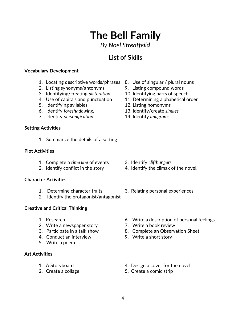### *By Noel Streatfeild*

## **List of Skills**

#### **Vocabulary Development**

- 1. Locating descriptive words/phrases 8. Use of singular / plural nouns
- 2. Listing synonyms/antonyms 9. Listing compound words
- 3. Identifying/creating *alliteration* 10. Identifying parts of speech
- 
- 5. Identifying syllables 12. Listing homonyms
- 
- 7. Identify *personification* 14. Identify *anagrams*

#### **Setting Activities**

1. Summarize the details of a setting

#### **Plot Activities**

- 1. Complete a *time line* of events 3. Identify *cliffhangers*
- 

#### **Character Activities**

- 
- 2. Identify the protagonist/antagonist

### **Creative and Critical Thinking**

- 
- 2. Write a newspaper story **7. Write a book review**
- 
- 4. Conduct an interview 9. Write a short story
- 5. Write a poem.

### **Art Activities**

- 
- 
- 
- 
- 
- 4. Use of capitals and punctuation 11. Determining alphabetical order
	-
- 6. Identify *foreshadowing*. 13. Identify/create *similes*
	-

- 
- 2. Identify conflict in the story 4. Identify the climax of the novel.
- 1. Determine character traits 3. Relating personal experiences
- 1. Research 6. Write a description of personal feelings
	-
- 3. Participate in a talk show 8. Complete an Observation Sheet
	-
- 1. A Storyboard **1.** A Storyboard **1.** A Storyboard
- 2. Create a collage 5. Create a comic strip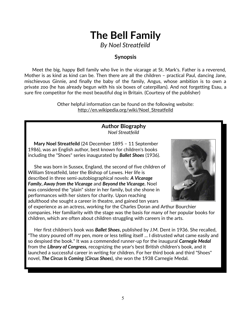*By Noel Streatfeild*

### **Synopsis**

 Meet the big, happy Bell family who live in the vicarage at St. Mark's. Father is a reverend, Mother is as kind as kind can be. Then there are all the children – practical Paul, dancing Jane, mischievous Ginnie, and finally the baby of the family, Angus, whose ambition is to own a private zoo (he has already begun with his six boxes of caterpillars). And not forgetting Esau, a sure fire competitor for the most beautiful dog in Britain. (Courtesy of the publisher)

> Other helpful information can be found on the following website: http://en.wikipedia.org/wiki/Noel\_Streatfeild

#### **Author Biography** *Noel Streatfeild*

 **Mary Noel Streatfeild** (24 December 1895 – 11 September 1986), was an English author, best known for children's books including the "Shoes" series inaugurated by *Ballet Shoes* (1936).

 She was born in Sussex, England, the second of five children of William Streatfeild, later the Bishop of Lewes. Her life is described in three semi-autobiographical novels: *A Vicarage Family***,** *Away from the Vicarage* and *Beyond the Vicarage***.** Noel was considered the "plain" sister in her family, but she shone in performances with her sisters for charity. Upon reaching adulthood she sought a career in theatre, and gained ten years



of experience as an actress, working for the Charles Doran and Arthur Bourchier companies. Her familiarity with the stage was the basis for many of her popular books for children, which are often about children struggling with careers in the arts.

 Her first children's book was *Ballet Shoes***,** published by J.M. Dent in 1936. She recalled, "The story poured off my pen, more or less telling itself ... I distrusted what came easily and so despised the book." It was a commended runner-up for the inaugural *Carnegie Medal* from the *Library of Congress,* recognizing the year's best British children's book, and it launched a successful career in writing for children. For her third book and third "Shoes" novel, *The Circus Is Coming* (*Circus Shoes*), she won the 1938 Carnegie Medal.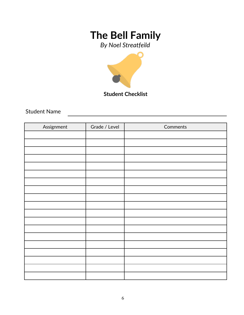*By Noel Streatfeild*



**Student Checklist**

Student Name

| Assignment | Grade / Level | Comments |
|------------|---------------|----------|
|            |               |          |
|            |               |          |
|            |               |          |
|            |               |          |
|            |               |          |
|            |               |          |
|            |               |          |
|            |               |          |
|            |               |          |
|            |               |          |
|            |               |          |
|            |               |          |
|            |               |          |
|            |               |          |
|            |               |          |
|            |               |          |
|            |               |          |
|            |               |          |
|            |               |          |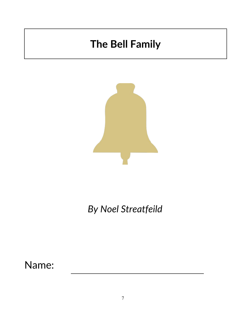

# *By Noel Streatfeild*

Name: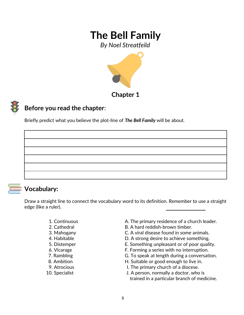*By Noel Streatfeild*



**Chapter 1**

# **Before you read the chapter**:

Briefly predict what you believe the plot-line of *The Bell Family* will be about.



### **Vocabulary:**

Draw a straight line to connect the vocabulary word to its definition. Remember to use a straight edge (like a ruler).

- 
- 
- 
- 
- 
- 
- 
- 
- 
- 
- 1. Continuous **A. The primary residence of a church leader.**
- 2. Cathedral B. A hard reddish-brown timber.
- 3. Mahogany C. A viral disease found in some animals.
- 4. Habitable D. A strong desire to achieve something.
- 5. Distemper E. Something unpleasant or of poor quality.
- 6. Vicarage F. Forming a series with no interruption.
- 7. Rambling The G. To speak at length during a conversation.
- 8. Ambition **H.** Suitable or good enough to live in.
- 9. Atrocious **I. The primary church of a diocese.**
- 10. Specialist J. A person, normally a doctor, who is trained in a particular branch of medicine.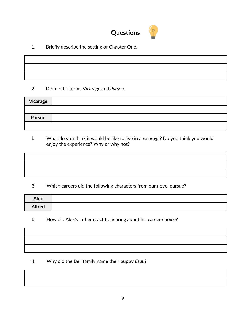

1. Briefly describe the setting of Chapter One.

#### 2. Define the terms V*icarage* and *Parson*.

| Vicarage |  |
|----------|--|
|          |  |
| Parson   |  |
|          |  |

 b. What do you think it would be like to live in a *vicarage*? Do you think you would enjoy the experience? Why or why not?

3. Which careers did the following characters from our novel pursue?

| <b>Alex</b>   |  |
|---------------|--|
| <b>Alfred</b> |  |

b. How did Alex's father react to hearing about his career choice?

- - 4. Why did the Bell family name their puppy *Esau*?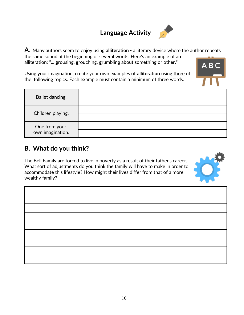# **Language Activity**



**A**. Many authors seem to enjoy using **alliteration -** a literary device where the author **r**epeats the same sound at the beginning of several words. Here's an example of an alliteration: "... **g**rousing, **g**rouching, **g**rumbling about something or other."

Using your imagination, create your own examples of **alliteration** using three of the following topics. Each example must contain a minimum of three words.

| Ballet dancing.                   |  |
|-----------------------------------|--|
| Children playing.                 |  |
| One from your<br>own imagination. |  |

### **B. What do you think?**

The Bell Family are forced to live in poverty as a result of their father's career. What sort of adjustments do you think the family will have to make in order to accommodate this lifestyle? How might their lives differ from that of a more wealthy family?



| the contract of the contract of the contract of the contract of the contract of |  |  |
|---------------------------------------------------------------------------------|--|--|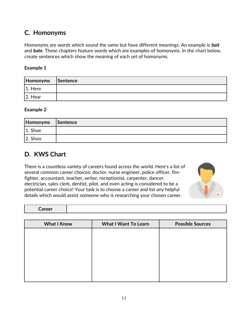### **C. Homonyms**

Homonyms are words which sound the same but have different meanings. An example is *bait* and *bate*. These chapters feature words which are examples of homonyms. In the chart below, create sentences which show the meaning of each set of homonyms.

#### **Example 1**

| Homonyms   | Sentence |
|------------|----------|
| $ 1.$ Here |          |
| $ 2.$ Hear |          |

#### **Example 2**

| Homonyms Sentence |  |
|-------------------|--|
| $ 1.$ Shoe        |  |
| $ 2.$ Shoo        |  |

# **D. KWS Chart**

There is a countless variety of careers found across the world. Here's a list of several common career choices; doctor, nurse engineer, police officer, firefighter, accountant, teacher, writer, receptionist, carpenter, dancer, electrician, sales clerk, dentist, pilot, and even acting is considered to be a potential career choice! Your task is to choose a career and list any helpful details which would assist someone who is researching your chosen career.



**Career**

| <b>What I Know</b> | <b>What I Want To Learn</b> | <b>Possible Sources</b> |
|--------------------|-----------------------------|-------------------------|
|                    |                             |                         |
|                    |                             |                         |
|                    |                             |                         |
|                    |                             |                         |
|                    |                             |                         |
|                    |                             |                         |